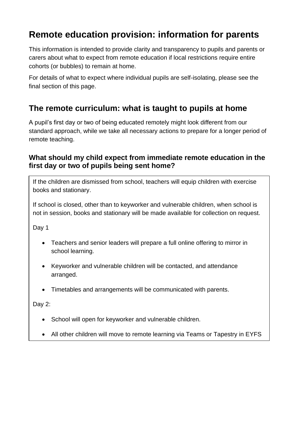# **Remote education provision: information for parents**

This information is intended to provide clarity and transparency to pupils and parents or carers about what to expect from remote education if local restrictions require entire cohorts (or bubbles) to remain at home.

For details of what to expect where individual pupils are self-isolating, please see the final section of this page.

## **The remote curriculum: what is taught to pupils at home**

A pupil's first day or two of being educated remotely might look different from our standard approach, while we take all necessary actions to prepare for a longer period of remote teaching.

### **What should my child expect from immediate remote education in the first day or two of pupils being sent home?**

If the children are dismissed from school, teachers will equip children with exercise books and stationary.

If school is closed, other than to keyworker and vulnerable children, when school is not in session, books and stationary will be made available for collection on request.

Day 1

- Teachers and senior leaders will prepare a full online offering to mirror in school learning.
- Keyworker and vulnerable children will be contacted, and attendance arranged.
- Timetables and arrangements will be communicated with parents.

Day 2:

- School will open for keyworker and vulnerable children.
- All other children will move to remote learning via Teams or Tapestry in EYFS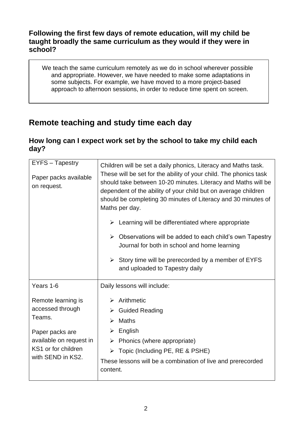### **Following the first few days of remote education, will my child be taught broadly the same curriculum as they would if they were in school?**

We teach the same curriculum remotely as we do in school wherever possible and appropriate. However, we have needed to make some adaptations in some subjects. For example, we have moved to a more project-based approach to afternoon sessions, in order to reduce time spent on screen.

# **Remote teaching and study time each day**

## **How long can I expect work set by the school to take my child each day?**

| EYFS - Tapestry<br>Paper packs available<br>on request.                                                                                    | Children will be set a daily phonics, Literacy and Maths task.<br>These will be set for the ability of your child. The phonics task<br>should take between 10-20 minutes. Literacy and Maths will be<br>dependent of the ability of your child but on average children<br>should be completing 30 minutes of Literacy and 30 minutes of<br>Maths per day.<br>$\triangleright$ Learning will be differentiated where appropriate<br>$\triangleright$ Observations will be added to each child's own Tapestry<br>Journal for both in school and home learning<br>$\triangleright$ Story time will be prerecorded by a member of EYFS<br>and uploaded to Tapestry daily |
|--------------------------------------------------------------------------------------------------------------------------------------------|----------------------------------------------------------------------------------------------------------------------------------------------------------------------------------------------------------------------------------------------------------------------------------------------------------------------------------------------------------------------------------------------------------------------------------------------------------------------------------------------------------------------------------------------------------------------------------------------------------------------------------------------------------------------|
| Years 1-6                                                                                                                                  | Daily lessons will include:                                                                                                                                                                                                                                                                                                                                                                                                                                                                                                                                                                                                                                          |
| Remote learning is<br>accessed through<br>Teams.<br>Paper packs are<br>available on request in<br>KS1 or for children<br>with SEND in KS2. | $\triangleright$ Arithmetic<br>$\triangleright$ Guided Reading<br>$\triangleright$ Maths<br>$\triangleright$ English<br>$\triangleright$ Phonics (where appropriate)<br>$\triangleright$ Topic (Including PE, RE & PSHE)<br>These lessons will be a combination of live and prerecorded<br>content.                                                                                                                                                                                                                                                                                                                                                                  |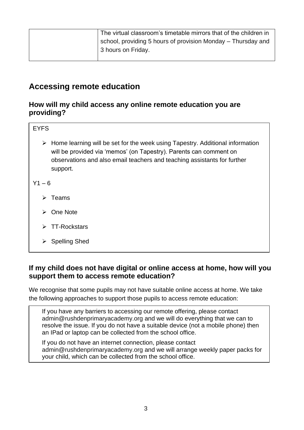| The virtual classroom's timetable mirrors that of the children in |
|-------------------------------------------------------------------|
| school, providing 5 hours of provision Monday – Thursday and      |
| 3 hours on Friday.                                                |
|                                                                   |

## **Accessing remote education**

### **How will my child access any online remote education you are providing?**

| <b>EYFS</b>                                                                                                                                                                                                                                      |
|--------------------------------------------------------------------------------------------------------------------------------------------------------------------------------------------------------------------------------------------------|
| Home learning will be set for the week using Tapestry. Additional information<br>➤<br>will be provided via 'memos' (on Tapestry). Parents can comment on<br>observations and also email teachers and teaching assistants for further<br>support. |
| Y1 – 6                                                                                                                                                                                                                                           |
| Teams                                                                                                                                                                                                                                            |
| One Note                                                                                                                                                                                                                                         |
| <b>TT-Rockstars</b>                                                                                                                                                                                                                              |
| <b>Spelling Shed</b>                                                                                                                                                                                                                             |

### **If my child does not have digital or online access at home, how will you support them to access remote education?**

We recognise that some pupils may not have suitable online access at home. We take the following approaches to support those pupils to access remote education:

If you have any barriers to accessing our remote offering, please contact [admin@rushdenprimaryacademy.org](mailto:admin@rushdenprimaryacademy.org) and we will do everything that we can to resolve the issue. If you do not have a suitable device (not a mobile phone) then an IPad or laptop can be collected from the school office.

If you do not have an internet connection, please contact [admin@rushdenprimaryacademy.org](mailto:admin@rushdenprimaryacademy.org) and we will arrange weekly paper packs for your child, which can be collected from the school office.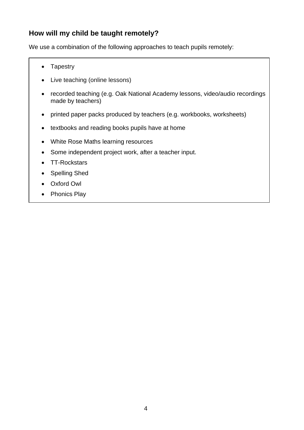## **How will my child be taught remotely?**

We use a combination of the following approaches to teach pupils remotely:

- Tapestry
- Live teaching (online lessons)
- recorded teaching (e.g. Oak National Academy lessons, video/audio recordings made by teachers)
- printed paper packs produced by teachers (e.g. workbooks, worksheets)
- textbooks and reading books pupils have at home
- White Rose Maths learning resources
- Some independent project work, after a teacher input.
- TT-Rockstars
- Spelling Shed
- Oxford Owl
- Phonics Play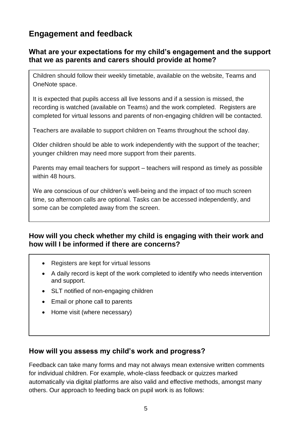# **Engagement and feedback**

### **What are your expectations for my child's engagement and the support that we as parents and carers should provide at home?**

Children should follow their weekly timetable, available on the website, Teams and OneNote space.

It is expected that pupils access all live lessons and if a session is missed, the recording is watched (available on Teams) and the work completed. Registers are completed for virtual lessons and parents of non-engaging children will be contacted.

Teachers are available to support children on Teams throughout the school day.

Older children should be able to work independently with the support of the teacher; younger children may need more support from their parents.

Parents may email teachers for support – teachers will respond as timely as possible within 48 hours.

We are conscious of our children's well-being and the impact of too much screen time, so afternoon calls are optional. Tasks can be accessed independently, and some can be completed away from the screen.

### **How will you check whether my child is engaging with their work and how will I be informed if there are concerns?**

- Registers are kept for virtual lessons
- A daily record is kept of the work completed to identify who needs intervention and support.
- SLT notified of non-engaging children
- Email or phone call to parents
- Home visit (where necessary)

### **How will you assess my child's work and progress?**

Feedback can take many forms and may not always mean extensive written comments for individual children. For example, whole-class feedback or quizzes marked automatically via digital platforms are also valid and effective methods, amongst many others. Our approach to feeding back on pupil work is as follows: